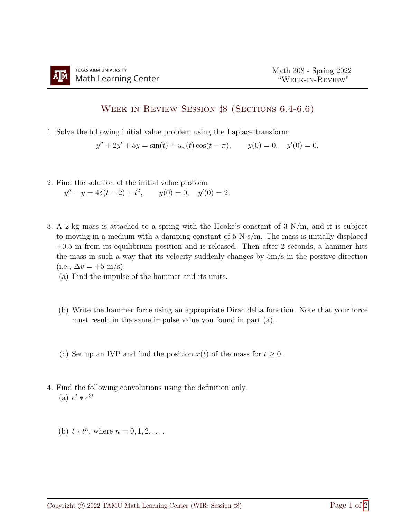## Week in Review Session ♯8 (Sections 6.4-6.6)

1. Solve the following initial value problem using the Laplace transform:

$$
y'' + 2y' + 5y = \sin(t) + u_{\pi}(t)\cos(t - \pi), \qquad y(0) = 0, \quad y'(0) = 0.
$$

- 2. Find the solution of the initial value problem  $y'' - y = 4\delta(t - 2) + t^2$ ,  $y(0) = 0$ ,  $y'(0) = 2$ .
- 3. A 2-kg mass is attached to a spring with the Hooke's constant of 3 N/m, and it is subject to moving in a medium with a damping constant of 5 N-s/m. The mass is initially displaced  $+0.5$  m from its equilibrium position and is released. Then after 2 seconds, a hammer hits the mass in such a way that its velocity suddenly changes by  $5m/s$  in the positive direction (i.e.,  $\Delta v = +5$  m/s).
	- (a) Find the impulse of the hammer and its units.
	- (b) Write the hammer force using an appropriate Dirac delta function. Note that your force must result in the same impulse value you found in part (a).
	- (c) Set up an IVP and find the position  $x(t)$  of the mass for  $t \geq 0$ .
- 4. Find the following convolutions using the definition only. (a)  $e^t * e^{3t}$ 
	- (b)  $t * t^n$ , where  $n = 0, 1, 2, \ldots$